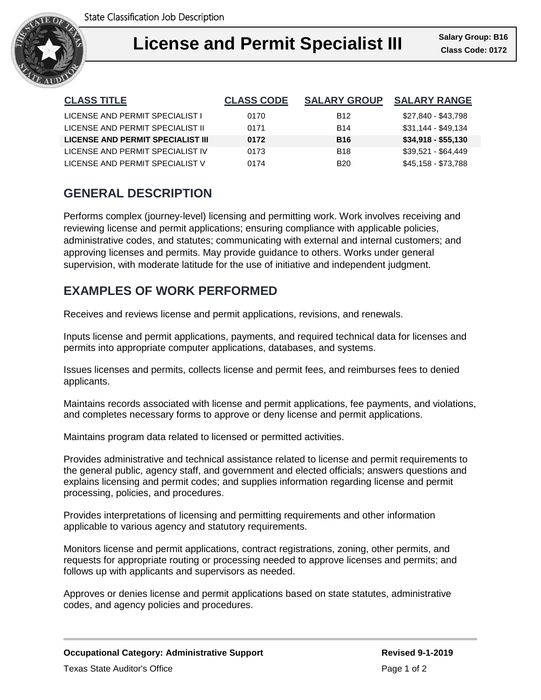

| <b>CLASS TITLE</b>                | <b>CLASS CODE</b> | <b>SALARY GROUP</b> | <b>SALARY RANGE</b> |
|-----------------------------------|-------------------|---------------------|---------------------|
| LICENSE AND PERMIT SPECIALIST I   | 0170              | <b>B12</b>          | \$27,840 - \$43,798 |
| LICENSE AND PERMIT SPECIALIST II  | 0171              | <b>B14</b>          | $$31,144 - $49,134$ |
| LICENSE AND PERMIT SPECIALIST III | 0172              | <b>B16</b>          | $$34,918 - $55,130$ |
| LICENSE AND PERMIT SPECIALIST IV  | 0173              | <b>B18</b>          | \$39,521 - \$64,449 |
| LICENSE AND PERMIT SPECIALIST V   | 0174              | <b>B20</b>          | \$45,158 - \$73,788 |

# **GENERAL DESCRIPTION**

Performs complex (journey-level) licensing and permitting work. Work involves receiving and reviewing license and permit applications; ensuring compliance with applicable policies, administrative codes, and statutes; communicating with external and internal customers; and approving licenses and permits. May provide guidance to others. Works under general supervision, with moderate latitude for the use of initiative and independent judgment.

## **EXAMPLES OF WORK PERFORMED**

Receives and reviews license and permit applications, revisions, and renewals.

Inputs license and permit applications, payments, and required technical data for licenses and permits into appropriate computer applications, databases, and systems.

Issues licenses and permits, collects license and permit fees, and reimburses fees to denied applicants.

Maintains records associated with license and permit applications, fee payments, and violations, and completes necessary forms to approve or deny license and permit applications.

Maintains program data related to licensed or permitted activities.

Provides administrative and technical assistance related to license and permit requirements to the general public, agency staff, and government and elected officials; answers questions and explains licensing and permit codes; and supplies information regarding license and permit processing, policies, and procedures.

Provides interpretations of licensing and permitting requirements and other information applicable to various agency and statutory requirements.

Monitors license and permit applications, contract registrations, zoning, other permits, and requests for appropriate routing or processing needed to approve licenses and permits; and follows up with applicants and supervisors as needed.

Approves or denies license and permit applications based on state statutes, administrative codes, and agency policies and procedures.